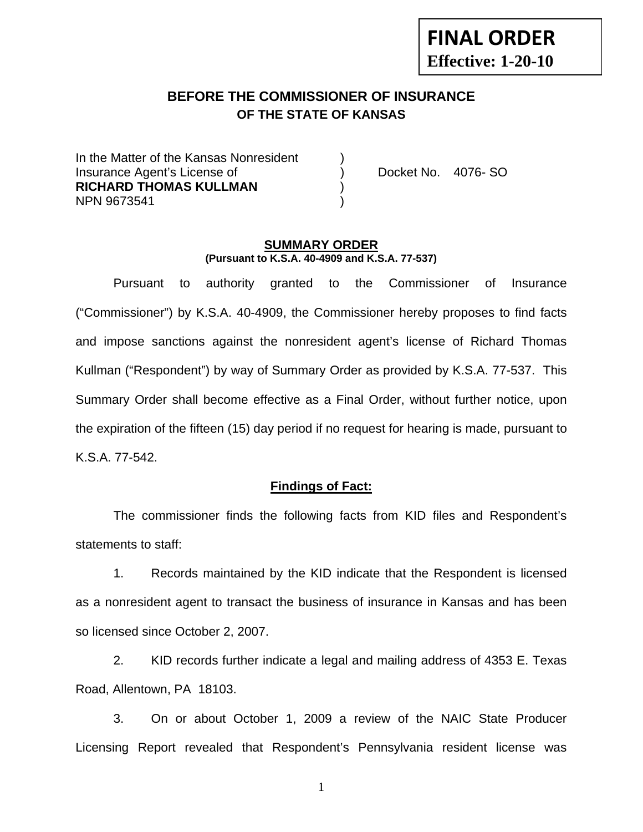# **FINAL ORDER Effective: 1-20-10**

# **BEFORE THE COMMISSIONER OF INSURANCE OF THE STATE OF KANSAS**

In the Matter of the Kansas Nonresident Insurance Agent's License of ) Docket No. 4076- SO **RICHARD THOMAS KULLMAN** ) NPN 9673541 )

#### **SUMMARY ORDER (Pursuant to K.S.A. 40-4909 and K.S.A. 77-537)**

 Pursuant to authority granted to the Commissioner of Insurance ("Commissioner") by K.S.A. 40-4909, the Commissioner hereby proposes to find facts and impose sanctions against the nonresident agent's license of Richard Thomas Kullman ("Respondent") by way of Summary Order as provided by K.S.A. 77-537. This Summary Order shall become effective as a Final Order, without further notice, upon the expiration of the fifteen (15) day period if no request for hearing is made, pursuant to K.S.A. 77-542.

#### **Findings of Fact:**

 The commissioner finds the following facts from KID files and Respondent's statements to staff:

 1. Records maintained by the KID indicate that the Respondent is licensed as a nonresident agent to transact the business of insurance in Kansas and has been so licensed since October 2, 2007.

 2. KID records further indicate a legal and mailing address of 4353 E. Texas Road, Allentown, PA 18103.

 3. On or about October 1, 2009 a review of the NAIC State Producer Licensing Report revealed that Respondent's Pennsylvania resident license was

1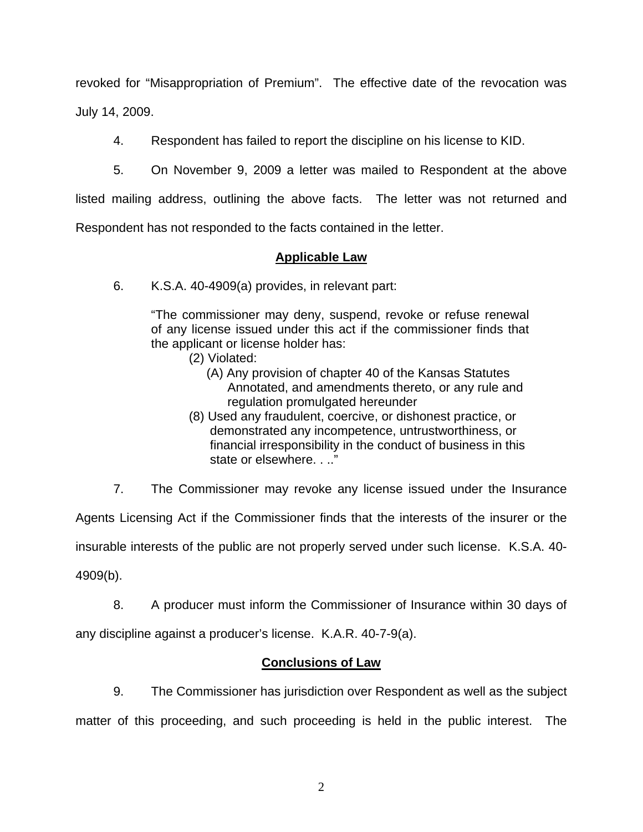revoked for "Misappropriation of Premium". The effective date of the revocation was July 14, 2009.

4. Respondent has failed to report the discipline on his license to KID.

5. On November 9, 2009 a letter was mailed to Respondent at the above

listed mailing address, outlining the above facts. The letter was not returned and

Respondent has not responded to the facts contained in the letter.

### **Applicable Law**

6. K.S.A. 40-4909(a) provides, in relevant part:

"The commissioner may deny, suspend, revoke or refuse renewal of any license issued under this act if the commissioner finds that the applicant or license holder has:

- (2) Violated:
	- (A) Any provision of chapter 40 of the Kansas Statutes Annotated, and amendments thereto, or any rule and regulation promulgated hereunder
- (8) Used any fraudulent, coercive, or dishonest practice, or demonstrated any incompetence, untrustworthiness, or financial irresponsibility in the conduct of business in this state or elsewhere. . .."

7. The Commissioner may revoke any license issued under the Insurance

Agents Licensing Act if the Commissioner finds that the interests of the insurer or the

insurable interests of the public are not properly served under such license. K.S.A. 40-

4909(b).

 8. A producer must inform the Commissioner of Insurance within 30 days of any discipline against a producer's license. K.A.R. 40-7-9(a).

### **Conclusions of Law**

 9. The Commissioner has jurisdiction over Respondent as well as the subject matter of this proceeding, and such proceeding is held in the public interest. The

2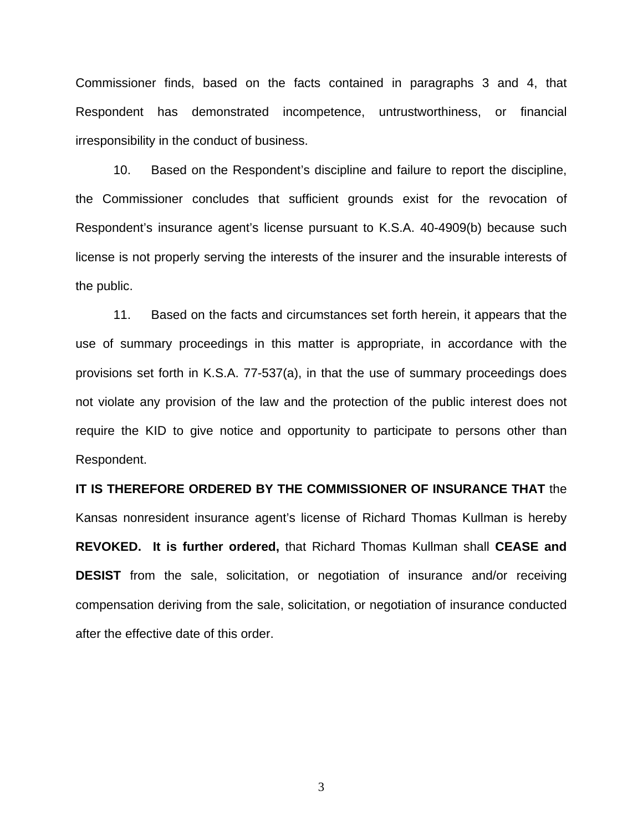Commissioner finds, based on the facts contained in paragraphs 3 and 4, that Respondent has demonstrated incompetence, untrustworthiness, or financial irresponsibility in the conduct of business.

 10. Based on the Respondent's discipline and failure to report the discipline, the Commissioner concludes that sufficient grounds exist for the revocation of Respondent's insurance agent's license pursuant to K.S.A. 40-4909(b) because such license is not properly serving the interests of the insurer and the insurable interests of the public.

 11. Based on the facts and circumstances set forth herein, it appears that the use of summary proceedings in this matter is appropriate, in accordance with the provisions set forth in K.S.A. 77-537(a), in that the use of summary proceedings does not violate any provision of the law and the protection of the public interest does not require the KID to give notice and opportunity to participate to persons other than Respondent.

**IT IS THEREFORE ORDERED BY THE COMMISSIONER OF INSURANCE THAT** the Kansas nonresident insurance agent's license of Richard Thomas Kullman is hereby **REVOKED. It is further ordered,** that Richard Thomas Kullman shall **CEASE and DESIST** from the sale, solicitation, or negotiation of insurance and/or receiving compensation deriving from the sale, solicitation, or negotiation of insurance conducted after the effective date of this order.

3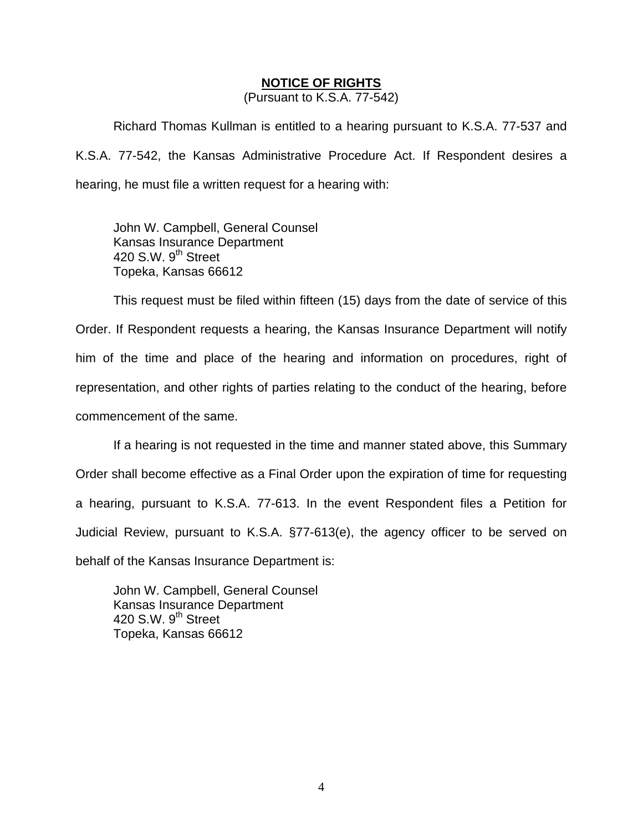#### **NOTICE OF RIGHTS**

(Pursuant to K.S.A. 77-542)

Richard Thomas Kullman is entitled to a hearing pursuant to K.S.A. 77-537 and K.S.A. 77-542, the Kansas Administrative Procedure Act. If Respondent desires a hearing, he must file a written request for a hearing with:

 John W. Campbell, General Counsel Kansas Insurance Department 420 S.W. 9<sup>th</sup> Street Topeka, Kansas 66612

This request must be filed within fifteen (15) days from the date of service of this Order. If Respondent requests a hearing, the Kansas Insurance Department will notify him of the time and place of the hearing and information on procedures, right of representation, and other rights of parties relating to the conduct of the hearing, before commencement of the same.

If a hearing is not requested in the time and manner stated above, this Summary Order shall become effective as a Final Order upon the expiration of time for requesting a hearing, pursuant to K.S.A. 77-613. In the event Respondent files a Petition for Judicial Review, pursuant to K.S.A. §77-613(e), the agency officer to be served on behalf of the Kansas Insurance Department is:

 John W. Campbell, General Counsel Kansas Insurance Department 420 S.W.  $9<sup>th</sup>$  Street Topeka, Kansas 66612